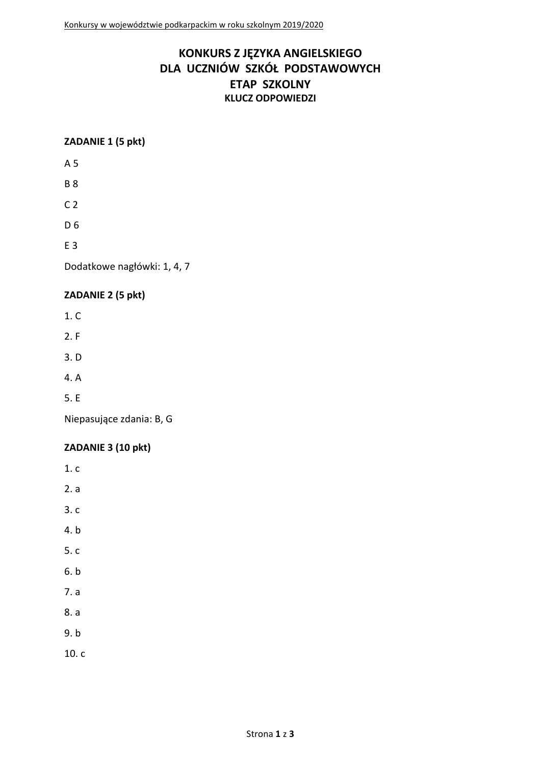# **KONKURS Z JĘZYKA ANGIELSKIEGO DLA UCZNIÓW SZKÓŁ PODSTAWOWYCH ETAP SZKOLNY KLUCZ ODPOWIEDZI**

#### **ZADANIE 1 (5 pkt)**

A 5

B 8

 $C<sub>2</sub>$ 

D 6

E 3

Dodatkowe nagłówki: 1, 4, 7

#### **ZADANIE 2 (5 pkt)**

1. C

- 2. F
- 3. D
- 4. A
- 5. E

Niepasujące zdania: B, G

## **ZADANIE 3 (10 pkt)**

- 1. c
- 2. a
- 3. c
- 4. b
- 5. c
- 6. b
- 7. a
- 8. a
- 9. b
- 10. c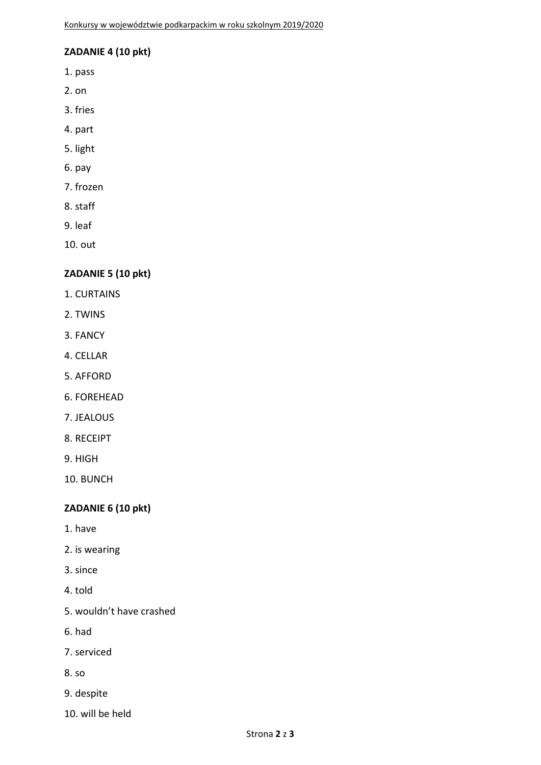# **ZADANIE 4 (10 pkt)**

- 1. pass
- 2. on
- 3. fries
- 4. part
- 5. light
- 6. pay
- 7. frozen
- 8. staff
- 9. leaf

10. out

## **ZADANIE 5 (10 pkt)**

- 1. CURTAINS
- 2. TWINS
- 3. FANCY
- 4. CELLAR
- 5. AFFORD
- 6. FOREHEAD
- 7. JEALOUS
- 8. RECEIPT
- 9. HIGH

10. BUNCH

## **ZADANIE 6 (10 pkt)**

- 1. have
- 2. is wearing
- 3. since
- 4. told
- 5. wouldn't have crashed
- 6. had
- 7. serviced
- 8. so
- 9. despite
- 10. will be held